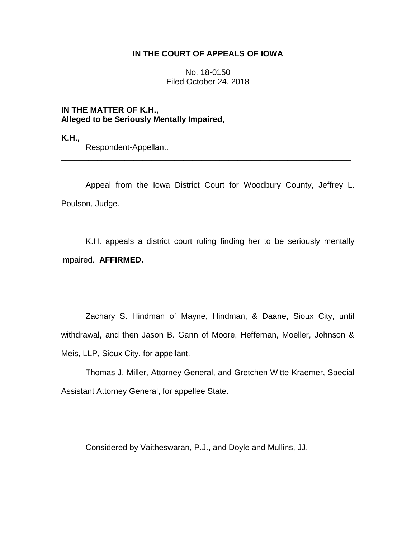## **IN THE COURT OF APPEALS OF IOWA**

No. 18-0150 Filed October 24, 2018

**IN THE MATTER OF K.H., Alleged to be Seriously Mentally Impaired,**

**K.H.,**

Respondent-Appellant.

Appeal from the Iowa District Court for Woodbury County, Jeffrey L. Poulson, Judge.

\_\_\_\_\_\_\_\_\_\_\_\_\_\_\_\_\_\_\_\_\_\_\_\_\_\_\_\_\_\_\_\_\_\_\_\_\_\_\_\_\_\_\_\_\_\_\_\_\_\_\_\_\_\_\_\_\_\_\_\_\_\_\_\_

K.H. appeals a district court ruling finding her to be seriously mentally impaired. **AFFIRMED.** 

Zachary S. Hindman of Mayne, Hindman, & Daane, Sioux City, until withdrawal, and then Jason B. Gann of Moore, Heffernan, Moeller, Johnson & Meis, LLP, Sioux City, for appellant.

Thomas J. Miller, Attorney General, and Gretchen Witte Kraemer, Special Assistant Attorney General, for appellee State.

Considered by Vaitheswaran, P.J., and Doyle and Mullins, JJ.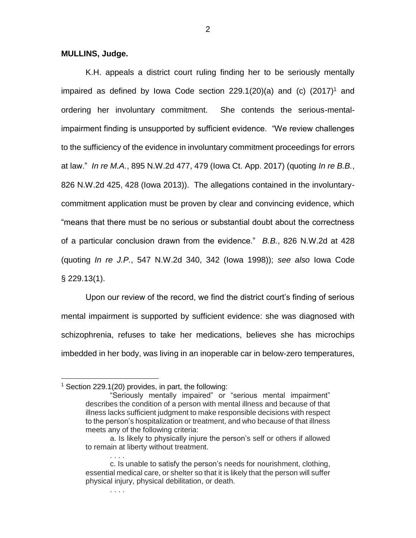## **MULLINS, Judge.**

K.H. appeals a district court ruling finding her to be seriously mentally impaired as defined by Iowa Code section  $229.1(20)(a)$  and (c)  $(2017)^1$  and ordering her involuntary commitment. She contends the serious-mentalimpairment finding is unsupported by sufficient evidence. "We review challenges to the sufficiency of the evidence in involuntary commitment proceedings for errors at law." *In re M.A.*, 895 N.W.2d 477, 479 (Iowa Ct. App. 2017) (quoting *In re B.B.*, 826 N.W.2d 425, 428 (Iowa 2013)). The allegations contained in the involuntarycommitment application must be proven by clear and convincing evidence, which "means that there must be no serious or substantial doubt about the correctness of a particular conclusion drawn from the evidence." *B.B.*, 826 N.W.2d at 428 (quoting *In re J.P.*, 547 N.W.2d 340, 342 (Iowa 1998)); *see also* Iowa Code § 229.13(1).

Upon our review of the record, we find the district court's finding of serious mental impairment is supported by sufficient evidence: she was diagnosed with schizophrenia, refuses to take her medications, believes she has microchips imbedded in her body, was living in an inoperable car in below-zero temperatures,

. . . .

. . . .

 $\overline{a}$ 

 $1$  Section 229.1(20) provides, in part, the following:

<sup>&</sup>quot;Seriously mentally impaired" or "serious mental impairment" describes the condition of a person with mental illness and because of that illness lacks sufficient judgment to make responsible decisions with respect to the person's hospitalization or treatment, and who because of that illness meets any of the following criteria:

a. Is likely to physically injure the person's self or others if allowed to remain at liberty without treatment.

c. Is unable to satisfy the person's needs for nourishment, clothing, essential medical care, or shelter so that it is likely that the person will suffer physical injury, physical debilitation, or death.